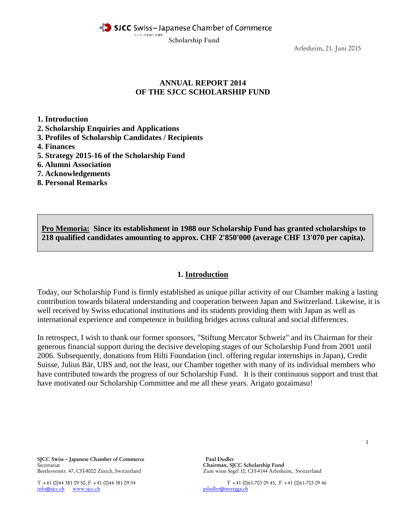SJCC Swiss-Japanese Chamber of Commerce

スイスー日本商工会議所

Scholarship Fund

Arlesheim, 21. Juni 2015

# **ANNUAL REPORT 2014 OF THE SJCC SCHOLARSHIP FUND**

**1. Introduction**

- **2. Scholarship Enquiries and Applications**
- **3. Profiles of Scholarship Candidates / Recipients**
- **4. Finances**
- **5. Strategy 2015-16 of the Scholarship Fund**
- **6. Alumni Association**
- **7. Acknowledgements**
- **8. Personal Remarks**

**Pro Memoria: Since its establishment in 1988 our Scholarship Fund has granted scholarships to 218 qualified candidates amounting to approx. CHF 2'850'000 (average CHF 13'070 per capita).**

### **1. Introduction**

Today, our Scholarship Fund is firmly established as unique pillar activity of our Chamber making a lasting contribution towards bilateral understanding and cooperation between Japan and Switzerland. Likewise, it is well received by Swiss educational institutions and its students providing them with Japan as well as international experience and competence in building bridges across cultural and social differences.

In retrospect, I wish to thank our former sponsors, "Stiftung Mercator Schweiz" and its Chairman for their generous financial support during the decisive developing stages of our Scholarship Fund from 2001 until 2006. Subsequently, donations from Hilti Foundation (incl. offering regular internships in Japan), Credit Suisse, Julius Bär, UBS and, not the least, our Chamber together with many of its individual members who have contributed towards the progress of our Scholarship Fund. It is their continuous support and trust that have motivated our Scholarship Committee and me all these years. Arigato gozaimasu!

SJCC Swiss – Japanese Chamber of Commerce Paul Dudler Secretariat Chairman, SJCC Scholarship Fund<br>Beethovenstr. 47, CH-8002 Zürich, Switzerland Chairman, SJCC Scholarship Fund

[info@sjcc.ch](mailto:info@sjcc.ch) [www.sjcc.ch](http://www.sjcc.ch/)

Zum wisse Segel 10, CH-4144 Arlesheim, Switzerland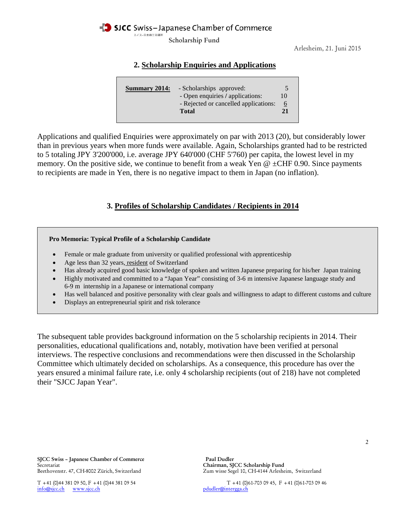SICC Swiss-Japanese Chamber of Commerce

スイスー日本商工会議所

Scholarship Fund

Arlesheim, 21. Juni 2015

# **2. Scholarship Enquiries and Applications**

| <b>Summary 2014:</b> | - Scholarships approved:<br>- Open enquiries / applications:<br>- Rejected or cancelled applications:<br><b>Total</b> | 10<br>6<br>21 |
|----------------------|-----------------------------------------------------------------------------------------------------------------------|---------------|
|----------------------|-----------------------------------------------------------------------------------------------------------------------|---------------|

Applications and qualified Enquiries were approximately on par with 2013 (20), but considerably lower than in previous years when more funds were available. Again, Scholarships granted had to be restricted to 5 totaling JPY 3'200'000, i.e. average JPY 640'000 (CHF 5'760) per capita, the lowest level in my memory. On the positive side, we continue to benefit from a weak Yen  $\omega \pm \text{CHF } 0.90$ . Since payments to recipients are made in Yen, there is no negative impact to them in Japan (no inflation).

## **3. Profiles of Scholarship Candidates / Recipients in 2014**

#### **Pro Memoria: Typical Profile of a Scholarship Candidate**

- Female or male graduate from university or qualified professional with apprenticeship
- Age less than 32 years, resident of Switzerland
- Has already acquired good basic knowledge of spoken and written Japanese preparing for his/her Japan training
- Highly motivated and committed to a "Japan Year" consisting of 3-6 m intensive Japanese language study and 6-9 m internship in a Japanese or international company
- Has well balanced and positive personality with clear goals and willingness to adapt to different customs and culture
- Displays an entrepreneurial spirit and risk tolerance

The subsequent table provides background information on the 5 scholarship recipients in 2014. Their personalities, educational qualifications and, notably, motivation have been verified at personal interviews. The respective conclusions and recommendations were then discussed in the Scholarship Committee which ultimately decided on scholarships. As a consequence, this procedure has over the years ensured a minimal failure rate, i.e. only 4 scholarship recipients (out of 218) have not completed their "SJCC Japan Year".

Zum wisse Segel 10, CH-4144 Arlesheim, Switzerland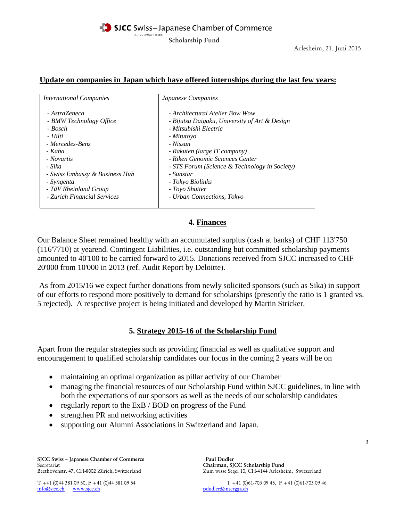### **Update on companies in Japan which have offered internships during the last few years:**

| <b>International Companies</b> | <i>Japanese Companies</i>                     |
|--------------------------------|-----------------------------------------------|
| - AstraZeneca                  | - Architectural Atelier Bow Wow               |
| - BMW Technology Office        | - Bijutsu Daigaku, University of Art & Design |
| - Bosch                        | - Mitsubishi Electric                         |
| - Hilti                        | - Mitutoyo                                    |
| - Mercedes-Benz                | - Nissan                                      |
| - Kaba                         | - Rakuten (large IT company)                  |
| - Novartis                     | - Riken Genomic Sciences Center               |
| - Sika                         | - STS Forum (Science & Technology in Society) |
| - Swiss Embassy & Business Hub | - Sunstar                                     |
| - Syngenta                     | - Tokyo Biolinks                              |
| - TüV Rheinland Group          | - Toyo Shutter                                |
| - Zurich Financial Services    | - Urban Connections, Tokyo                    |

# **4. Finances**

Our Balance Sheet remained healthy with an accumulated surplus (cash at banks) of CHF 113'750 (116'7710) at yearend. Contingent Liabilities, i.e. outstanding but committed scholarship payments amounted to 40'100 to be carried forward to 2015. Donations received from SJCC increased to CHF 20'000 from 10'000 in 2013 (ref. Audit Report by Deloitte).

As from 2015**/**16 we expect further donations from newly solicited sponsors (such as Sika) in support of our efforts to respond more positively to demand for scholarships (presently the ratio is 1 granted vs. 5 rejected). A respective project is being initiated and developed by Martin Stricker.

# **5. Strategy 2015-16 of the Scholarship Fund**

Apart from the regular strategies such as providing financial as well as qualitative support and encouragement to qualified scholarship candidates our focus in the coming 2 years will be on

- maintaining an optimal organization as pillar activity of our Chamber
- managing the financial resources of our Scholarship Fund within SJCC guidelines, in line with both the expectations of our sponsors as well as the needs of our scholarship candidates
- regularly report to the ExB / BOD on progress of the Fund
- strengthen PR and networking activities
- supporting our Alumni Associations in Switzerland and Japan.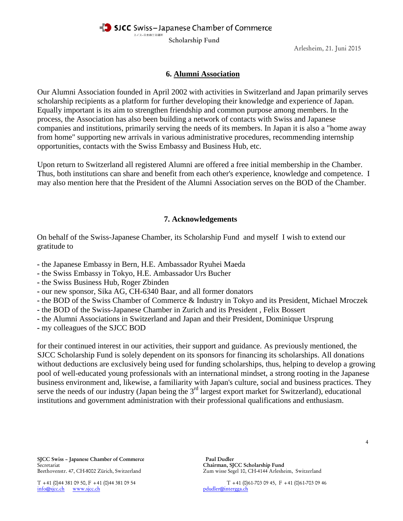SJCC Swiss-Japanese Chamber of Commerce

スイスー日本商工会議所

Scholarship Fund

Arlesheim, 21. Juni 2015

# **6. Alumni Association**

Our Alumni Association founded in April 2002 with activities in Switzerland and Japan primarily serves scholarship recipients as a platform for further developing their knowledge and experience of Japan. Equally important is its aim to strengthen friendship and common purpose among members. In the process, the Association has also been building a network of contacts with Swiss and Japanese companies and institutions, primarily serving the needs of its members. In Japan it is also a "home away from home" supporting new arrivals in various administrative procedures, recommending internship opportunities, contacts with the Swiss Embassy and Business Hub, etc.

Upon return to Switzerland all registered Alumni are offered a free initial membership in the Chamber. Thus, both institutions can share and benefit from each other's experience, knowledge and competence. I may also mention here that the President of the Alumni Association serves on the BOD of the Chamber.

### **7. Acknowledgements**

On behalf of the Swiss-Japanese Chamber, its Scholarship Fund and myself I wish to extend our gratitude to

- **-** the Japanese Embassy in Bern, H.E. Ambassador Ryuhei Maeda
- **-** the Swiss Embassy in Tokyo, H.E. Ambassador Urs Bucher
- **-** the Swiss Business Hub, Roger Zbinden
- **-** our new sponsor, Sika AG, CH-6340 Baar, and all former donators
- **-** the BOD of the Swiss Chamber of Commerce & Industry in Tokyo and its President, Michael Mroczek
- **-** the BOD of the Swiss-Japanese Chamber in Zurich and its President , Felix Bossert
- **-** the Alumni Associations in Switzerland and Japan and their President, Dominique Ursprung
- **-** my colleagues of the SJCC BOD

for their continued interest in our activities, their support and guidance. As previously mentioned, the SJCC Scholarship Fund is solely dependent on its sponsors for financing its scholarships. All donations without deductions are exclusively being used for funding scholarships, thus, helping to develop a growing pool of well-educated young professionals with an international mindset, a strong rooting in the Japanese business environment and, likewise, a familiarity with Japan's culture, social and business practices. They serve the needs of our industry (Japan being the 3<sup>rd</sup> largest export market for Switzerland), educational institutions and government administration with their professional qualifications and enthusiasm.

SJCC Swiss – Japanese Chamber of Commerce Paul Dudler Secretariat Chairman, SJCC Scholarship Fund<br>Beethovenstr. 47, CH-8002 Zürich, Switzerland Chairman, SJCC Scholarship Fund

 $info@s$ jcc.ch [www.sjcc.ch](http://www.sjcc.ch/)

Zum wisse Segel 10, CH-4144 Arlesheim, Switzerland